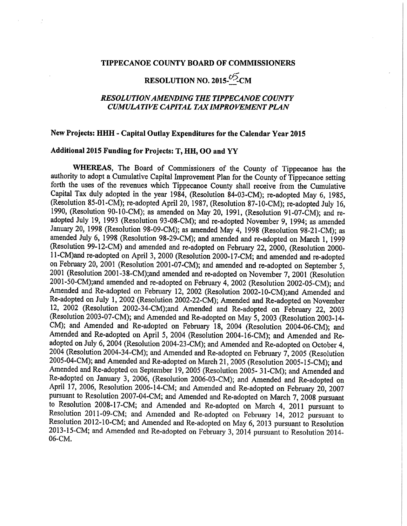#### TIPPECANOE COUNTY BOARD OF COMMISSIONERS

# RESOLUTION NO. 2015- $\frac{5.05}{\sqrt{2}}$ CM

# RESOLUTIONAMENDING THE TIPPECANOE COUNTY CUMULATIVE CAPITAL TAX IMPROVEMENT PLAN

# New Projects: HHH - Capital Outlay Expenditures for the Calendar Year 2015

## Additional 2015 Funding for Projects: T, HH, OO and YY

WHEREAS, The Board of Commissioners of the County of Tippecanoe has the authority to adopt a Cumulative Capital Improvement Plan for the County of Tippecanoe setting forth the uses of the revenues which Tippecanoe County shall receive from the Cumulative Capital Tax duly adopted in the year 1984, (Resolution 84-03-CM); re-adopted May 6, 1985, (Resolution 85-01-CM); re-adopted April 20, 1987, (Resolution 87-10-CM); re-adopted July 16, 1990, (Resolution 90-10-CM); as amended on May 20, 1991, (Resolution 91-07-CM); and readopted July 19, 1993 (Resolution 93-08-CM); and re-adopted November 9, 1994; as amended January 20, 1998 (Resolution 98-09-CM); as amended May 4, 1998 (Resolution 98-21-CM); as amended July 6, <sup>1998</sup> (Resolution 98~29~CM); and amended and re-adopted on March 1, <sup>1999</sup> (Resolution 99-12-CM) and amended and re~ad0pted on February 22,2000, (Resolution 2000- 11-CM)and re-adOpted on April3, <sup>2000</sup> (Resolution 2000-17—CM; and amended and re-adopted on February 20, <sup>2001</sup> (Resolution 2001-07-CM); and amended and re~adopted on September 5, <sup>2001</sup> (Resolution 2001-38-CM);and amended and re-adopted on November 7, <sup>2001</sup> (Resolution 2001-50-CM);and amended and re~adopted on February 4, <sup>2002</sup> (Resolution 2002-05-CM); and Amended and Re-adopted on February 12, 2002 (Resolution 2002-10-CM);and Amended and Re-adopted on July 1, 2002 (Resolution 2002-22-CM); Amended and Re-adopted on November 12, 2002 (Resolution 2002-34-CM);and Amended and Re-adopted on February 22, 2003 (Resolution 2003-07-CM); and Amended and Re-adopted on May 5, 2003 (Resolution 2003-14-CM); and Amended and Re—adopted on February 18, <sup>2004</sup> (Resolution 2004-06-CM); and Amended and Re-adopted on April 5, <sup>2004</sup> (Resolution 2004-16-CM); and Amended and Readopted on July 6, <sup>2004</sup> (Resolution 2004-23-CM); and Amended and Re—adopted on October 4, <sup>2004</sup> (Resolution 2004-34—CM); and Amended and Re-adopted on February 7, <sup>2005</sup> (Resolution 2005-04-CM); and Amended and Re-adOpted on March 21, <sup>2005</sup> (Resolution 2005~15-CM); and Amended and Re-adopted on September 19, <sup>2005</sup> (Resolution 2005» 31—CM); and Amended and Re—adopted on January 3, 2006, (Resolution 2006~03~CM); and Amended and Re-adopted on April 17, 2006, Resolution 2006-14-CM; and Amended and Re-adopted on February 20, 2007 pursuant to Resolution 2007-04-CM; and Amended and Re-adopted on March 7, 2008 pursuant to Resolution 2008-17-CM; and Amended and Re-adopted on March 4, 2011 pursuant to Resolution 2011-09-CM; and Amended and Re-adopted on February 14, 2012 pursuant to Resolution 2012-10-CM; and Amended and Re-adopted on May 6, 2013 pursuant to Resolution 2013-15-CM; and Amended and Re-adopted on February 3, 2014 pursuant to Resolution 2014-06-CM.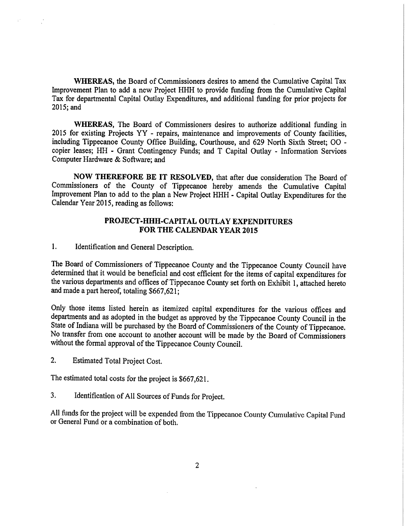WHEREAS, the Board of Commissioners desires to amend the Cumulative Capital Tax Improvement Plan to add a new Project HHH to provide funding from the Cumulative Capital Tax for departmental Capital Outlay Expenditures, and additional funding for prior projects for 2015;and

WHEREAS, The Board of Commissioners desires to authorize additional funding in 2015 for existing Projects YY - repairs, maintenance and improvements of County facilities, including Tippecanoe County Office Building, Courthouse, and 629 North Sixth Street; 00 copier leases; HH - Grant Contingency Funds; and T Capital Outlay - Information Services Computer Hardware & Software; and

NOW THEREFORE BE IT RESOLVED, that after due consideration The Board of Commissioners of the County of Tippecanoe hereby amends the Cumulative Capital Improvement Plan to add to the plan a New Project HHH - Capital Outlay Expenditures for the Calendar Year 2015, reading as follows:

# PROJECT-HHH-CAPITAL OUTLAY EXPENDITURES FOR THE CALENDAR YEAR 2015

1. Identification and General Description.

The Board of Commissioners of Tippecanoe County and the Tippecanoe County Council have determined that it would be beneficial and cost efficient for the items of capital expenditures for the various departments and offices of Tippecanoe County set forth on Exhibit 1, attached hereto and made <sup>a</sup> part hereof, totaling \$667,621;

Only those items listed herein as itemized capital expenditures for the various offices and departments and as adopted in the budget as approved by the Tippecanoe County Council in the State of Indiana will be purchased by the Board of Commissioners of the County of Tippecanoe. No transfer from one account to another account will be made by the Board of Commissioners without the formal approval of the Tippecanoe County Council.

2. Estimated Total Project Cost.

The estimated total costs for the project is \$667,621.

3. Identification of All Sources of Funds for Project.

All funds for the project will be expended from the Tippecanoe County Cumulative Capital Fund or General Fund or <sup>a</sup> combination of both.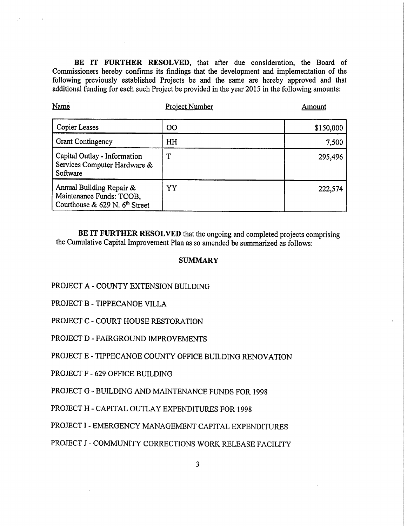BE IT FURTHER RESOLVED, that after due consideration, the Board of Commissioners hereby confirms its findings that the development and implementation of the following previously established Projects be and the same are hereby approved and that additional funding for each such Project be provided in the year 2015 in the following amounts:

| Name                                                                                     | <b>Project Number</b> | Amount    |
|------------------------------------------------------------------------------------------|-----------------------|-----------|
| <b>Copier Leases</b>                                                                     | <b>OO</b>             | \$150,000 |
| <b>Grant Contingency</b>                                                                 | HH                    | 7,500     |
| Capital Outlay - Information<br>Services Computer Hardware &<br>Software                 |                       | 295,496   |
| Annual Building Repair &<br>Maintenance Funds: TCOB,<br>Courthouse & 629 N. $6th$ Street | YY                    | 222,574   |

BE IT FURTHER RESOLVED that the ongoing and completed projects comprising the Cumulative Capital Improvement Plan as so amended be summarized as follows:

## **SUMMARY**

- PROJECT A COUNTY EXTENSION BUILDING
- PROJECT B TIPPECANOE VILLA
- PROJECT C COURT HOUSE RESTORATION
- PROJECT D FAIRGROUND IMPROVEMENTS
- PROJECT E TIPPECANOE COUNTY OFFICE BUILDING RENOVATION
- PROJECT F —- 629 OFFICE BUILDING
- PROJECT G <sup>=</sup> BUILDING AND MAINTENANCE FUNDS FOR 1998
- PROJECT H «- CAPITAL OUTLAY EXPENDITURES FOR 1998
- PROJECT I EMERGENCY MANAGEMENT CAPITAL EXPENDITURES
- PROJECT J COMMUNITY CORRECTIONS WORK RELEASE FACILITY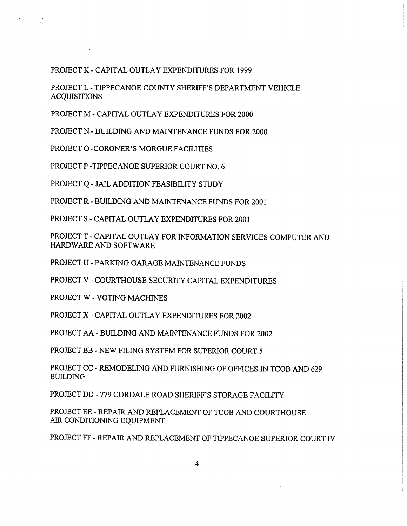# PROJECT K - CAPITAL OUTLAY EXPENDITURES FOR 1999

PROJECT L - TIPPECANOE COUNTY SHERIFF'8 DEPARTMENT VEHICLE ACQUISITIONS

PROJECT M - CAPITAL OUTLAY EXPENDITURES FOR 2000

PROJECT N -— BUILDING AND MAINTENANCE FUNDS FOR 2000

PROJECT 0 -CORONER'S MORGUE FACILITIES

Service.

PROJECT P -TIPPECANOE SUPERIOR COURT NO. 6

PROJECT Q - JAIL ADDITION FEASIBILITY STUDY

PROJECT R - BUILDING AND MAINTENANCE FUNDS FOR 2001

PROJECT S - CAPITAL OUTLAY EXPENDITURES FOR 2001

PROJECT T - CAPITAL OUTLAY FOR INFORMATION SERVICES COMPUTER AND HARDWARE AND SOFTWARE

PROJECT U - PARKING GARAGE MAINTENANCE FUNDS

PROJECT V - COURTHOUSE SECURITY CAPITAL EXPENDITURES

PROJECT W - VOTING MACHINES

PROJECT X - CAPITAL OUTLAY EXPENDITURES FOR 2002

PROJECT AA .. BUILDING AND MAINTENANCE FUNDS FOR 2002

PROJECT BB - NEW FILING SYSTEM FOR SUPERIOR COURT 5

PROJECT CC - REMODELING AND FURNISHING OF OFFICES IN TCOB AND 629 BUILDING

PROJECT DD =- 779 CORDALE ROAD SHERIFF'S STORAGE FACILITY

PROJECT EE - REPAIR AND REPLACEMENT OF TCOB AND COURTHOUSE AIR CONDITIONING EQUIPMENT

PROJECT FF - REPAIR AND REPLACEMENT OF TIPPECANOE SUPERIOR COURT IV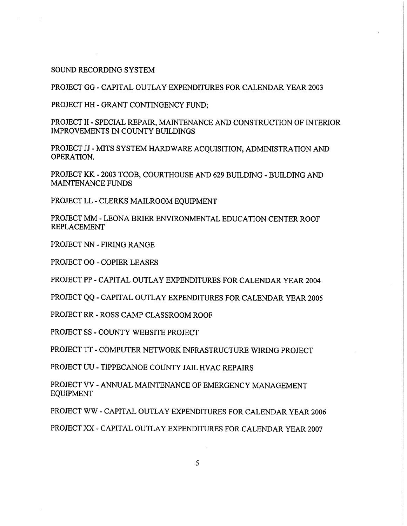SOUND RECORDING SYSTEM

PROJECT GG - CAPITAL OUTLAY EXPENDITURES FOR CALENDAR YEAR 2003

PROJECT HH - GRANT CONTINGENCY FUND;

PROJECT II - SPECIAL REPAIR, MAINTENANCE AND CONSTRUCTION OF INTERIOR IMPROVEMENTS IN COUNTY BUILDINGS

PROJECT JJ - MITS SYSTEM HARDWARE ACQUISITION, ADMINISTRATION AND OPERATION.

PROJECT KK -— 2003 TCOB, COURTHOUSE AND 629 BUILDING - BUILDING AND MAINTENANCE FUNDS

PROJECT LL <sup>~</sup> CLERKS MAILROOM EQUIPMENT

PROJECT MM - LEONA BRIER ENVIRONMENTAL EDUCATION CENTER ROOF REPLACEMENT

PROJECT NN - FIRING RANGE

PROJECT 00 - COPIER LEASES

PROJECT PP - CAPITAL OUTLAY EXPENDITURES FOR CALENDAR YEAR 2004

PROJECT QQ - CAPITAL OUTLAY EXPENDITURES FOR CALENDAR YEAR 2005

PROJECT RR - ROSS CAMP CLASSROOM ROOF

PROJECT SS - COUNTY WEBSITE PROJECT

PROJECT TT -COMPUTER NETWORK INFRASTRUCTURE WIRING PROJECT

PROJECT UU <sup>=</sup> TIPPECANOE COUNTY JAIL HVAC REPAIRS

PROJECT VV - ANNUAL MAINTENANCE OF EMERGENCY MANAGEMENT EQUIPMENT

PROJECT WW - CAPITAL OUTLAY EXPENDITURES FOR CALENDAR YEAR 2006

PROJECT XX « CAPITAL OUTLAY EXPENDITURES FOR CALENDAR YEAR 2007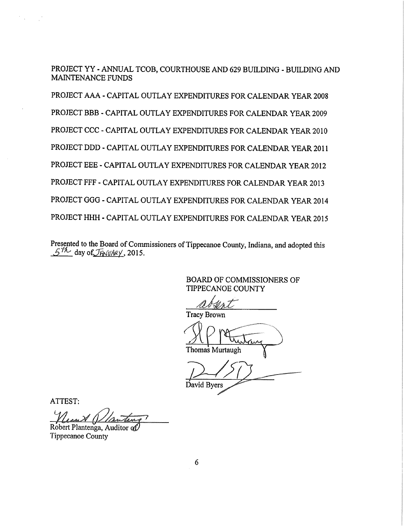PROJECT YY ANNUAL TCOB, COURTHOUSE AND 629 BUILDING - BUILDING AND MAINTENANCE FUNDS

PROJECT AAA - CAPITAL OUTLAY EXPENDITURES FOR CALENDAR YEAR 2008 PROJECT BBB - CAPITAL OUTLAY EXPENDITURES FOR CALENDAR YEAR 2009 PROJECT CCC — CAPITAL OUTLAY EXPENDITURES FOR CALENDAR YEAR 2010 PROJECT DDD - CAPITAL OUTLAY EXPENDITURES FOR CALENDAR YEAR 2011 PROJECT EEE - CAPITAL OUTLAY EXPENDITURES FOR CALENDAR YEAR 2012 PROJECT FFF - CAPITAL OUTLAY EXPENDITURES FOR CALENDAR YEAR 2013 PROJECT GGG - CAPITAL OUTLAY EXPENDITURES FOR CALENDAR YEAR 2014 PROJECT HHH - CAPITAL OUTLAY EXPENDITURES FOR CALENDAR YEAR 2015

Presented to the Board of Commissioners of Tippecanoe County, Indiana, and adopted this  $5<sup>th</sup>$  day of  $JHW/4eV$ , 2015.

BOARD OF COMMISSIONERS OF TIPPECANOE COUNTY

Tracy Brown

Thomas Murtaug

David Byers

ATTEST:

t Plantenga. Auditor  $\alpha$ f) Tippecanoe County